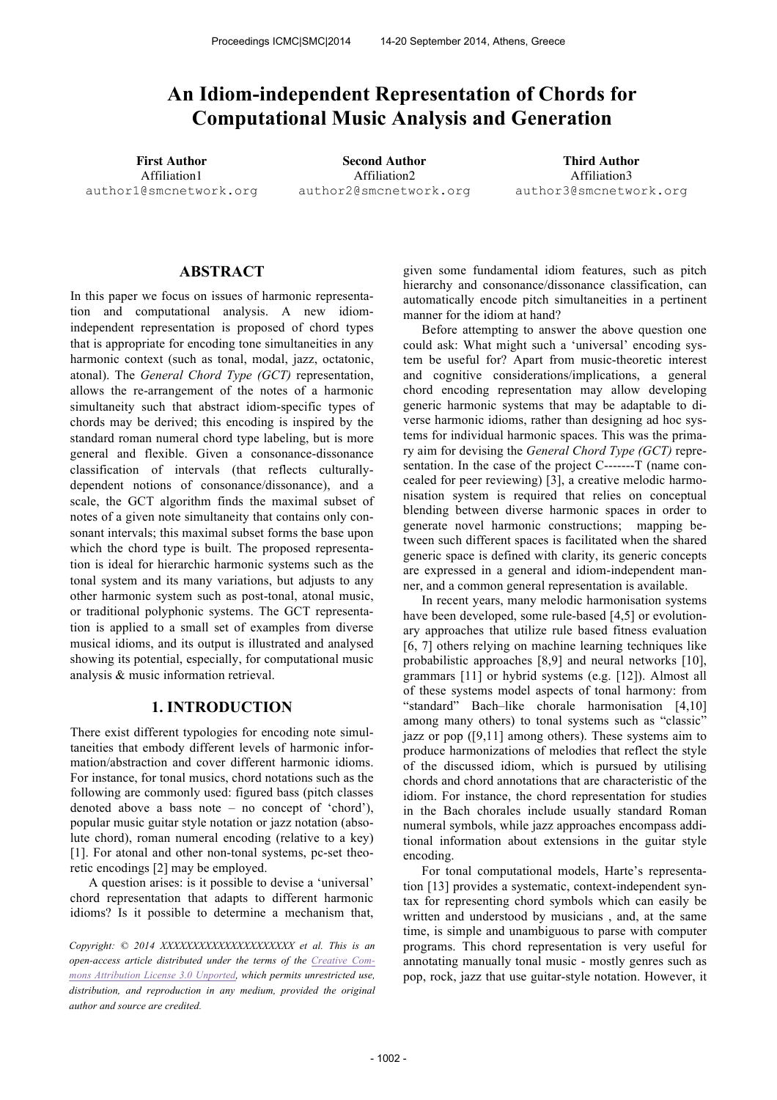# **An Idiom-independent Representation of Chords for Computational Music Analysis and Generation**

Affiliation1 author1@smcnetwork.org

**First Author Second Author Third Author** Affiliation2 author2@smcnetwork.org

Affiliation3 author3@smcnetwork.org

# **ABSTRACT**

In this paper we focus on issues of harmonic representation and computational analysis. A new idiomindependent representation is proposed of chord types that is appropriate for encoding tone simultaneities in any harmonic context (such as tonal, modal, jazz, octatonic, atonal). The *General Chord Type (GCT)* representation, allows the re-arrangement of the notes of a harmonic simultaneity such that abstract idiom-specific types of chords may be derived; this encoding is inspired by the standard roman numeral chord type labeling, but is more general and flexible. Given a consonance-dissonance classification of intervals (that reflects culturallydependent notions of consonance/dissonance), and a scale, the GCT algorithm finds the maximal subset of notes of a given note simultaneity that contains only consonant intervals; this maximal subset forms the base upon which the chord type is built. The proposed representation is ideal for hierarchic harmonic systems such as the tonal system and its many variations, but adjusts to any other harmonic system such as post-tonal, atonal music, or traditional polyphonic systems. The GCT representation is applied to a small set of examples from diverse musical idioms, and its output is illustrated and analysed showing its potential, especially, for computational music analysis & music information retrieval.

## **1. INTRODUCTION**

There exist different typologies for encoding note simultaneities that embody different levels of harmonic information/abstraction and cover different harmonic idioms. For instance, for tonal musics, chord notations such as the following are commonly used: figured bass (pitch classes denoted above a bass note – no concept of 'chord'), popular music guitar style notation or jazz notation (absolute chord), roman numeral encoding (relative to a key) [1]. For atonal and other non-tonal systems, pc-set theoretic encodings [2] may be employed.

A question arises: is it possible to devise a 'universal' chord representation that adapts to different harmonic idioms? Is it possible to determine a mechanism that,

*Copyright: © 2014 XXXXXXXXXXXXXXXXXXXXX et al. This is an open-access article distributed under the terms of the Creative Commons Attribution License 3.0 Unported, which permits unrestricted use, distribution, and reproduction in any medium, provided the original author and source are credited.*

given some fundamental idiom features, such as pitch hierarchy and consonance/dissonance classification, can automatically encode pitch simultaneities in a pertinent manner for the idiom at hand?

Before attempting to answer the above question one could ask: What might such a 'universal' encoding system be useful for? Apart from music-theoretic interest and cognitive considerations/implications, a general chord encoding representation may allow developing generic harmonic systems that may be adaptable to diverse harmonic idioms, rather than designing ad hoc systems for individual harmonic spaces. This was the primary aim for devising the *General Chord Type (GCT)* representation. In the case of the project C-------T (name concealed for peer reviewing) [3], a creative melodic harmonisation system is required that relies on conceptual blending between diverse harmonic spaces in order to generate novel harmonic constructions; mapping between such different spaces is facilitated when the shared generic space is defined with clarity, its generic concepts are expressed in a general and idiom-independent manner, and a common general representation is available.

In recent years, many melodic harmonisation systems have been developed, some rule-based [4,5] or evolutionary approaches that utilize rule based fitness evaluation [6, 7] others relying on machine learning techniques like probabilistic approaches [8,9] and neural networks [10], grammars [11] or hybrid systems (e.g. [12]). Almost all of these systems model aspects of tonal harmony: from "standard" Bach–like chorale harmonisation [4,10] among many others) to tonal systems such as "classic" jazz or pop ([9,11] among others). These systems aim to produce harmonizations of melodies that reflect the style of the discussed idiom, which is pursued by utilising chords and chord annotations that are characteristic of the idiom. For instance, the chord representation for studies in the Bach chorales include usually standard Roman numeral symbols, while jazz approaches encompass additional information about extensions in the guitar style encoding.

For tonal computational models, Harte's representation [13] provides a systematic, context-independent syntax for representing chord symbols which can easily be written and understood by musicians , and, at the same time, is simple and unambiguous to parse with computer programs. This chord representation is very useful for annotating manually tonal music - mostly genres such as pop, rock, jazz that use guitar-style notation. However, it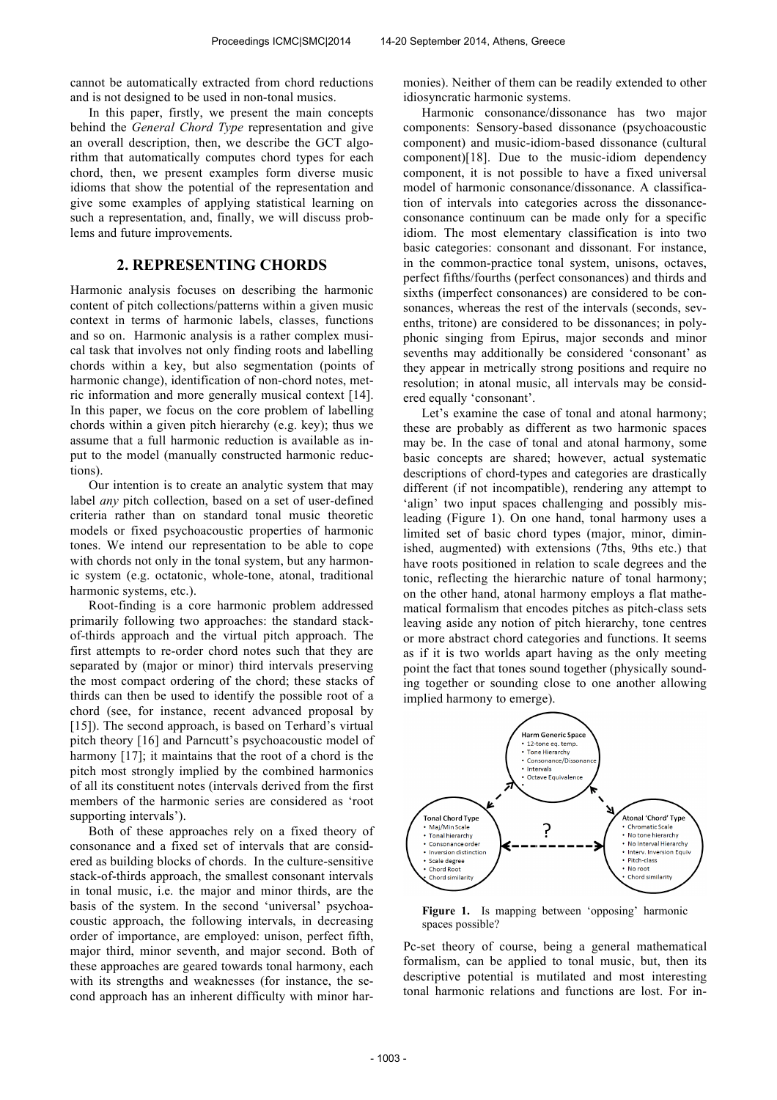cannot be automatically extracted from chord reductions and is not designed to be used in non-tonal musics.

In this paper, firstly, we present the main concepts behind the *General Chord Type* representation and give an overall description, then, we describe the GCT algorithm that automatically computes chord types for each chord, then, we present examples form diverse music idioms that show the potential of the representation and give some examples of applying statistical learning on such a representation, and, finally, we will discuss problems and future improvements.

# **2. REPRESENTING CHORDS**

Harmonic analysis focuses on describing the harmonic content of pitch collections/patterns within a given music context in terms of harmonic labels, classes, functions and so on. Harmonic analysis is a rather complex musical task that involves not only finding roots and labelling chords within a key, but also segmentation (points of harmonic change), identification of non-chord notes, metric information and more generally musical context [14]. In this paper, we focus on the core problem of labelling chords within a given pitch hierarchy (e.g. key); thus we assume that a full harmonic reduction is available as input to the model (manually constructed harmonic reductions).

Our intention is to create an analytic system that may label *any* pitch collection, based on a set of user-defined criteria rather than on standard tonal music theoretic models or fixed psychoacoustic properties of harmonic tones. We intend our representation to be able to cope with chords not only in the tonal system, but any harmonic system (e.g. octatonic, whole-tone, atonal, traditional harmonic systems, etc.).

Root-finding is a core harmonic problem addressed primarily following two approaches: the standard stackof-thirds approach and the virtual pitch approach. The first attempts to re-order chord notes such that they are separated by (major or minor) third intervals preserving the most compact ordering of the chord; these stacks of thirds can then be used to identify the possible root of a chord (see, for instance, recent advanced proposal by [15]). The second approach, is based on Terhard's virtual pitch theory [16] and Parncutt's psychoacoustic model of harmony [17]; it maintains that the root of a chord is the pitch most strongly implied by the combined harmonics of all its constituent notes (intervals derived from the first members of the harmonic series are considered as 'root supporting intervals').

Both of these approaches rely on a fixed theory of consonance and a fixed set of intervals that are considered as building blocks of chords. In the culture-sensitive stack-of-thirds approach, the smallest consonant intervals in tonal music, i.e. the major and minor thirds, are the basis of the system. In the second 'universal' psychoacoustic approach, the following intervals, in decreasing order of importance, are employed: unison, perfect fifth, major third, minor seventh, and major second. Both of these approaches are geared towards tonal harmony, each with its strengths and weaknesses (for instance, the second approach has an inherent difficulty with minor harmonies). Neither of them can be readily extended to other idiosyncratic harmonic systems.

Harmonic consonance/dissonance has two major components: Sensory-based dissonance (psychoacoustic component) and music-idiom-based dissonance (cultural component)[18]. Due to the music-idiom dependency component, it is not possible to have a fixed universal model of harmonic consonance/dissonance. A classification of intervals into categories across the dissonanceconsonance continuum can be made only for a specific idiom. The most elementary classification is into two basic categories: consonant and dissonant. For instance, in the common-practice tonal system, unisons, octaves, perfect fifths/fourths (perfect consonances) and thirds and sixths (imperfect consonances) are considered to be consonances, whereas the rest of the intervals (seconds, sevenths, tritone) are considered to be dissonances; in polyphonic singing from Epirus, major seconds and minor sevenths may additionally be considered 'consonant' as they appear in metrically strong positions and require no resolution; in atonal music, all intervals may be considered equally 'consonant'.

Let's examine the case of tonal and atonal harmony; these are probably as different as two harmonic spaces may be. In the case of tonal and atonal harmony, some basic concepts are shared; however, actual systematic descriptions of chord-types and categories are drastically different (if not incompatible), rendering any attempt to 'align' two input spaces challenging and possibly misleading (Figure 1). On one hand, tonal harmony uses a limited set of basic chord types (major, minor, diminished, augmented) with extensions (7ths, 9ths etc.) that have roots positioned in relation to scale degrees and the tonic, reflecting the hierarchic nature of tonal harmony; on the other hand, atonal harmony employs a flat mathematical formalism that encodes pitches as pitch-class sets leaving aside any notion of pitch hierarchy, tone centres or more abstract chord categories and functions. It seems as if it is two worlds apart having as the only meeting point the fact that tones sound together (physically sounding together or sounding close to one another allowing implied harmony to emerge).



**Figure 1.** Is mapping between 'opposing' harmonic spaces possible?

Pc-set theory of course, being a general mathematical formalism, can be applied to tonal music, but, then its descriptive potential is mutilated and most interesting tonal harmonic relations and functions are lost. For in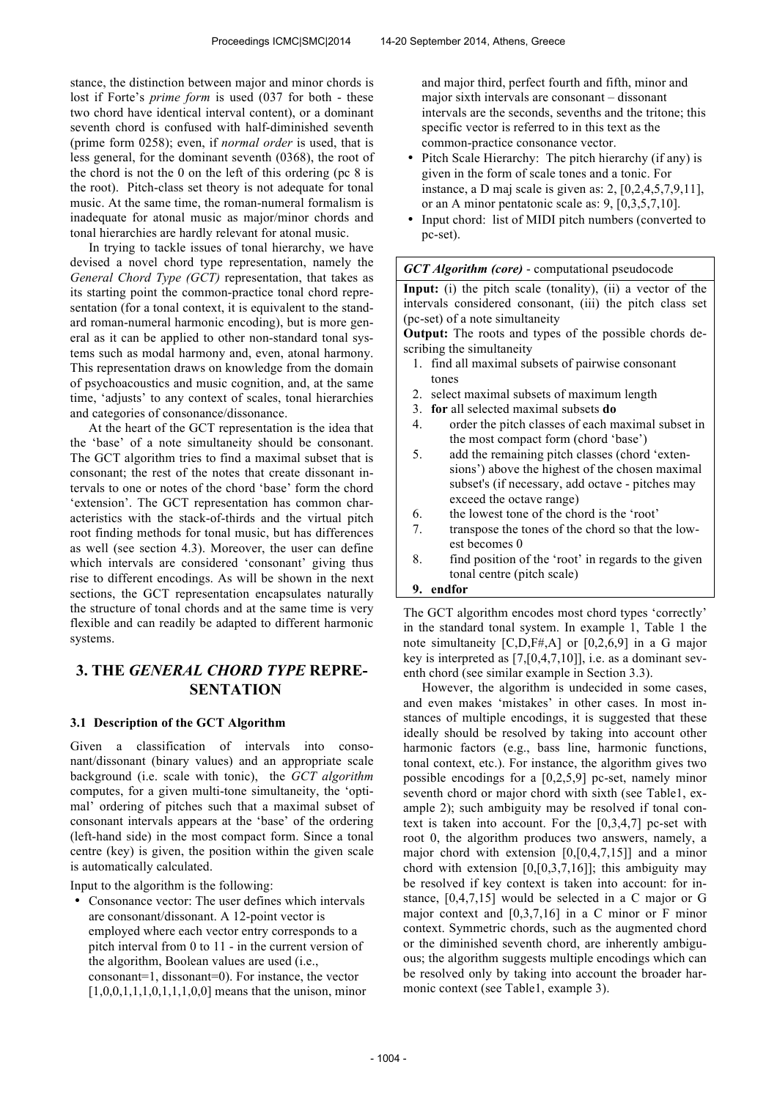stance, the distinction between major and minor chords is lost if Forte's *prime form* is used (037 for both - these two chord have identical interval content), or a dominant seventh chord is confused with half-diminished seventh (prime form 0258); even, if *normal order* is used, that is less general, for the dominant seventh (0368), the root of the chord is not the 0 on the left of this ordering (pc 8 is the root). Pitch-class set theory is not adequate for tonal music. At the same time, the roman-numeral formalism is inadequate for atonal music as major/minor chords and tonal hierarchies are hardly relevant for atonal music.

In trying to tackle issues of tonal hierarchy, we have devised a novel chord type representation, namely the *General Chord Type (GCT)* representation, that takes as its starting point the common-practice tonal chord representation (for a tonal context, it is equivalent to the standard roman-numeral harmonic encoding), but is more general as it can be applied to other non-standard tonal systems such as modal harmony and, even, atonal harmony. This representation draws on knowledge from the domain of psychoacoustics and music cognition, and, at the same time, 'adjusts' to any context of scales, tonal hierarchies and categories of consonance/dissonance.

At the heart of the GCT representation is the idea that the 'base' of a note simultaneity should be consonant. The GCT algorithm tries to find a maximal subset that is consonant; the rest of the notes that create dissonant intervals to one or notes of the chord 'base' form the chord 'extension'. The GCT representation has common characteristics with the stack-of-thirds and the virtual pitch root finding methods for tonal music, but has differences as well (see section 4.3). Moreover, the user can define which intervals are considered 'consonant' giving thus rise to different encodings. As will be shown in the next sections, the GCT representation encapsulates naturally the structure of tonal chords and at the same time is very flexible and can readily be adapted to different harmonic systems.

# **3. THE** *GENERAL CHORD TYPE* **REPRE-SENTATION**

## **3.1 Description of the GCT Algorithm**

Given a classification of intervals into consonant/dissonant (binary values) and an appropriate scale background (i.e. scale with tonic), the *GCT algorithm* computes, for a given multi-tone simultaneity, the 'optimal' ordering of pitches such that a maximal subset of consonant intervals appears at the 'base' of the ordering (left-hand side) in the most compact form. Since a tonal centre (key) is given, the position within the given scale is automatically calculated.

Input to the algorithm is the following:

• Consonance vector: The user defines which intervals are consonant/dissonant. A 12-point vector is employed where each vector entry corresponds to a pitch interval from 0 to 11 - in the current version of the algorithm, Boolean values are used (i.e., consonant=1, dissonant=0). For instance, the vector  $[1,0,0,1,1,1,0,1,1,1,0,0]$  means that the unison, minor and major third, perfect fourth and fifth, minor and major sixth intervals are consonant – dissonant intervals are the seconds, sevenths and the tritone; this specific vector is referred to in this text as the common-practice consonance vector.

- Pitch Scale Hierarchy: The pitch hierarchy (if any) is given in the form of scale tones and a tonic. For instance, a D maj scale is given as: 2, [0,2,4,5,7,9,11], or an A minor pentatonic scale as: 9, [0,3,5,7,10].
- Input chord: list of MIDI pitch numbers (converted to pc-set).

#### *GCT Algorithm (core)* - computational pseudocode

**Input:** (i) the pitch scale (tonality), (ii) a vector of the intervals considered consonant, (iii) the pitch class set (pc-set) of a note simultaneity

**Output:** The roots and types of the possible chords describing the simultaneity

- 1. find all maximal subsets of pairwise consonant tones
- 2. select maximal subsets of maximum length
- 3. **for** all selected maximal subsets **do**
- 4. order the pitch classes of each maximal subset in the most compact form (chord 'base')
- 5. add the remaining pitch classes (chord 'extensions') above the highest of the chosen maximal subset's (if necessary, add octave - pitches may exceed the octave range)
- 6. the lowest tone of the chord is the 'root'
- 7. transpose the tones of the chord so that the lowest becomes 0
- 8. find position of the 'root' in regards to the given tonal centre (pitch scale)

#### **9. endfor**

The GCT algorithm encodes most chord types 'correctly' in the standard tonal system. In example 1, Table 1 the note simultaneity [C,D,F#,A] or [0,2,6,9] in a G major key is interpreted as [7,[0,4,7,10]], i.e. as a dominant seventh chord (see similar example in Section 3.3).

However, the algorithm is undecided in some cases, and even makes 'mistakes' in other cases. In most instances of multiple encodings, it is suggested that these ideally should be resolved by taking into account other harmonic factors (e.g., bass line, harmonic functions, tonal context, etc.). For instance, the algorithm gives two possible encodings for a [0,2,5,9] pc-set, namely minor seventh chord or major chord with sixth (see Table1, example 2); such ambiguity may be resolved if tonal context is taken into account. For the [0,3,4,7] pc-set with root 0, the algorithm produces two answers, namely, a major chord with extension [0,[0,4,7,15]] and a minor chord with extension  $[0, [0, 3, 7, 16]]$ ; this ambiguity may be resolved if key context is taken into account: for instance, [0,4,7,15] would be selected in a C major or G major context and [0,3,7,16] in a C minor or F minor context. Symmetric chords, such as the augmented chord or the diminished seventh chord, are inherently ambiguous; the algorithm suggests multiple encodings which can be resolved only by taking into account the broader harmonic context (see Table1, example 3).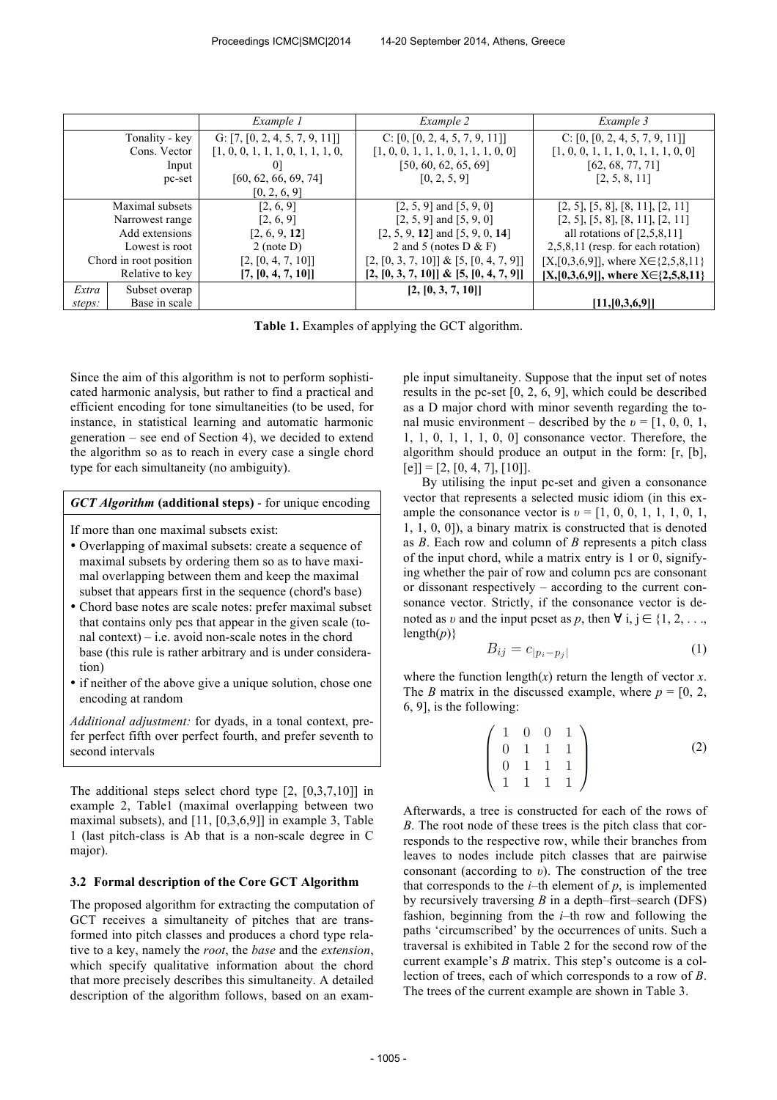|                        | Example 1     |                                   | Example 2                                 | Example 3                                     |  |
|------------------------|---------------|-----------------------------------|-------------------------------------------|-----------------------------------------------|--|
| Tonality - key         |               | G: $[7, [0, 2, 4, 5, 7, 9, 11]]$  | C: $[0, [0, 2, 4, 5, 7, 9, 11]]$          | C: $[0, [0, 2, 4, 5, 7, 9, 11]]$              |  |
| Cons. Vector           |               | [1, 0, 0, 1, 1, 1, 0, 1, 1, 1, 0, | [1, 0, 0, 1, 1, 1, 0, 1, 1, 1, 0, 0]      | [1, 0, 0, 1, 1, 1, 0, 1, 1, 1, 0, 0]          |  |
| Input                  |               | 0 <sup>1</sup>                    | [50, 60, 62, 65, 69]                      | [62, 68, 77, 71]                              |  |
| pc-set                 |               | [60, 62, 66, 69, 74]              | [0, 2, 5, 9]                              | [2, 5, 8, 11]                                 |  |
|                        |               | [0, 2, 6, 9]                      |                                           |                                               |  |
| Maximal subsets        |               | [2, 6, 9]                         | $[2, 5, 9]$ and $[5, 9, 0]$               | $[2, 5]$ , $[5, 8]$ , $[8, 11]$ , $[2, 11]$   |  |
| Narrowest range        |               | [2, 6, 9]                         | $[2, 5, 9]$ and $[5, 9, 0]$               | $[2, 5]$ , $[5, 8]$ , $[8, 11]$ , $[2, 11]$   |  |
| Add extensions         |               | [2, 6, 9, 12]                     | $[2, 5, 9, 12]$ and $[5, 9, 0, 14]$       | all rotations of $[2,5,8,11]$                 |  |
| Lowest is root         |               | $2$ (note D)                      | 2 and 5 (notes $D & F$ )                  | $2,5,8,11$ (resp. for each rotation)          |  |
| Chord in root position |               | [2, [0, 4, 7, 10]]                | $[2, [0, 3, 7, 10]] \& [5, [0, 4, 7, 9]]$ | $[X,[0,3,6,9]]$ , where $X \in \{2,5,8,11\}$  |  |
| Relative to key        |               | [7, [0, 4, 7, 10]]                | $[2, [0, 3, 7, 10]] \& [5, [0, 4, 7, 9]]$ | $[X, [0,3,6,9]]$ , where $X \in \{2,5,8,11\}$ |  |
| Extra                  | Subset overap |                                   | [2, [0, 3, 7, 10]]                        |                                               |  |
| steps:                 | Base in scale |                                   |                                           | [11, [0,3,6,9]]                               |  |

**Table 1.** Examples of applying the GCT algorithm.

Since the aim of this algorithm is not to perform sophisticated harmonic analysis, but rather to find a practical and efficient encoding for tone simultaneities (to be used, for instance, in statistical learning and automatic harmonic generation – see end of Section 4), we decided to extend the algorithm so as to reach in every case a single chord type for each simultaneity (no ambiguity).

#### *GCT Algorithm* **(additional steps)** - for unique encoding

If more than one maximal subsets exist:

- Overlapping of maximal subsets: create a sequence of maximal subsets by ordering them so as to have maximal overlapping between them and keep the maximal subset that appears first in the sequence (chord's base)
- Chord base notes are scale notes: prefer maximal subset that contains only pcs that appear in the given scale (tonal context) – i.e. avoid non-scale notes in the chord base (this rule is rather arbitrary and is under consideration)
- if neither of the above give a unique solution, chose one encoding at random

*Additional adjustment:* for dyads, in a tonal context, prefer perfect fifth over perfect fourth, and prefer seventh to second intervals

The additional steps select chord type [2, [0,3,7,10]] in example 2, Table1 (maximal overlapping between two maximal subsets), and [11, [0,3,6,9]] in example 3, Table 1 (last pitch-class is Ab that is a non-scale degree in C major).

#### **3.2 Formal description of the Core GCT Algorithm**

The proposed algorithm for extracting the computation of GCT receives a simultaneity of pitches that are transformed into pitch classes and produces a chord type relative to a key, namely the *root*, the *base* and the *extension*, which specify qualitative information about the chord that more precisely describes this simultaneity. A detailed description of the algorithm follows, based on an example input simultaneity. Suppose that the input set of notes results in the pc-set [0, 2, 6, 9], which could be described as a D major chord with minor seventh regarding the tonal music environment – described by the  $v = [1, 0, 0, 1]$ , 1, 1, 0, 1, 1, 1, 0, 0] consonance vector. Therefore, the algorithm should produce an output in the form: [r, [b],  $[e] = [2, [0, 4, 7], [10]].$ 

By utilising the input pc-set and given a consonance vector that represents a selected music idiom (in this example the consonance vector is  $v = [1, 0, 0, 1, 1, 1, 0, 1, 1]$ 1, 1, 0, 0]), a binary matrix is constructed that is denoted as *B*. Each row and column of *B* represents a pitch class of the input chord, while a matrix entry is 1 or 0, signifying whether the pair of row and column pcs are consonant or dissonant respectively – according to the current consonance vector. Strictly, if the consonance vector is denoted as *v* and the input pcset as *p*, then  $\forall$  i,  $j \in \{1, 2, \ldots,$  $length(p)$ }

$$
B_{ij} = c_{|p_i - p_j|} \tag{1}
$$

where the function length $(x)$  return the length of vector  $x$ . The *B* matrix in the discussed example, where  $p = [0, 2, 1]$ 6, 9], is the following:

$$
\begin{pmatrix}\n1 & 0 & 0 & 1 \\
0 & 1 & 1 & 1 \\
0 & 1 & 1 & 1 \\
1 & 1 & 1 & 1\n\end{pmatrix}
$$
\n(2)

Afterwards, a tree is constructed for each of the rows of *B*. The root node of these trees is the pitch class that corresponds to the respective row, while their branches from leaves to nodes include pitch classes that are pairwise consonant (according to *υ*). The construction of the tree that corresponds to the  $i$ –th element of  $p$ , is implemented by recursively traversing *B* in a depth–first–search (DFS) fashion, beginning from the *i*–th row and following the paths 'circumscribed' by the occurrences of units. Such a traversal is exhibited in Table 2 for the second row of the current example's *B* matrix. This step's outcome is a collection of trees, each of which corresponds to a row of *B*. The trees of the current example are shown in Table 3.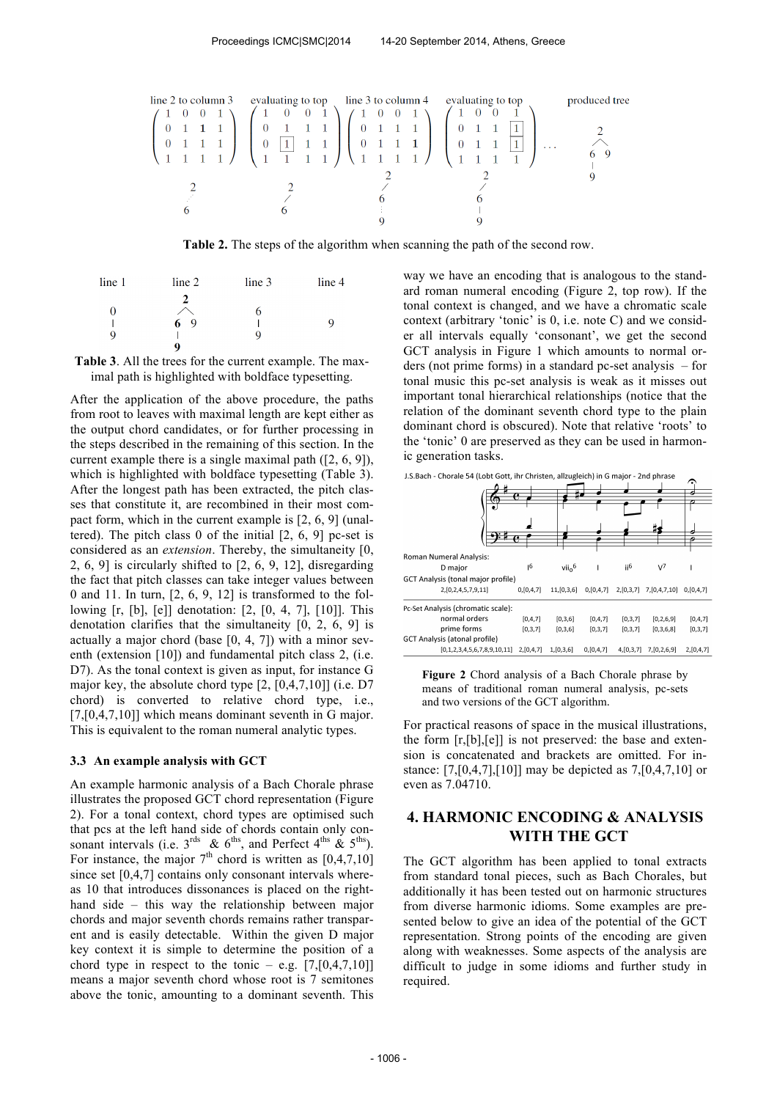

**Τable 2.** The steps of the algorithm when scanning the path of the second row.

| line 1 | line 2 | line <sub>3</sub> | line 4 |
|--------|--------|-------------------|--------|
|        | 2      |                   |        |
| U      |        | O                 |        |
|        | 69     |                   | q      |
| Q      |        |                   |        |
|        | o      |                   |        |

**Table 3**. All the trees for the current example. The maximal path is highlighted with boldface typesetting.

After the application of the above procedure, the paths from root to leaves with maximal length are kept either as the output chord candidates, or for further processing in the steps described in the remaining of this section. In the current example there is a single maximal path ([2, 6, 9]), which is highlighted with boldface typesetting (Table 3). After the longest path has been extracted, the pitch classes that constitute it, are recombined in their most compact form, which in the current example is [2, 6, 9] (unaltered). The pitch class 0 of the initial [2, 6, 9] pc-set is considered as an *extension*. Thereby, the simultaneity [0, 2, 6, 9] is circularly shifted to [2, 6, 9, 12], disregarding the fact that pitch classes can take integer values between 0 and 11. In turn,  $[2, 6, 9, 12]$  is transformed to the following [r, [b], [e]] denotation: [2, [0, 4, 7], [10]]. This denotation clarifies that the simultaneity [0, 2, 6, 9] is actually a major chord (base [0, 4, 7]) with a minor seventh (extension [10]) and fundamental pitch class 2, (i.e. D7). As the tonal context is given as input, for instance G major key, the absolute chord type [2, [0,4,7,10]] (i.e. D7 chord) is converted to relative chord type, i.e., [7,[0,4,7,10]] which means dominant seventh in G major. This is equivalent to the roman numeral analytic types.

#### **3.3 An example analysis with GCT**

An example harmonic analysis of a Bach Chorale phrase illustrates the proposed GCT chord representation (Figure 2). For a tonal context, chord types are optimised such that pcs at the left hand side of chords contain only consonant intervals (i.e.  $3^{\text{rds}}$  &  $6^{\text{ths}}$ , and Perfect  $4^{\text{ths}}$  &  $5^{\text{ths}}$ ). For instance, the major  $7<sup>th</sup>$  chord is written as [0,4,7,10] since set [0,4,7] contains only consonant intervals whereas 10 that introduces dissonances is placed on the righthand side – this way the relationship between major chords and major seventh chords remains rather transparent and is easily detectable. Within the given D major key context it is simple to determine the position of a chord type in respect to the tonic – e.g.  $[7, [0,4,7,10]]$ means a major seventh chord whose root is 7 semitones above the tonic, amounting to a dominant seventh. This

way we have an encoding that is analogous to the standard roman numeral encoding (Figure 2, top row). If the tonal context is changed, and we have a chromatic scale context (arbitrary 'tonic' is 0, i.e. note C) and we consider all intervals equally 'consonant', we get the second GCT analysis in Figure 1 which amounts to normal orders (not prime forms) in a standard pc-set analysis – for tonal music this pc-set analysis is weak as it misses out important tonal hierarchical relationships (notice that the relation of the dominant seventh chord type to the plain dominant chord is obscured). Note that relative 'roots' to the 'tonic' 0 are preserved as they can be used in harmonic generation tasks.

|                                    |               | ь             |           |                 |                  | ŕ.        |
|------------------------------------|---------------|---------------|-----------|-----------------|------------------|-----------|
|                                    |               |               |           |                 |                  |           |
|                                    |               |               |           |                 |                  |           |
|                                    |               |               |           |                 |                  |           |
| Roman Numeral Analysis:            |               |               |           |                 |                  |           |
| D major                            | <sub>16</sub> | $vii_0^6$     |           | ii <sup>6</sup> | $V^7$            |           |
| GCT Analysis (tonal major profile) |               |               |           |                 |                  |           |
| 2, [0, 2, 4, 5, 7, 9, 11]          | 0,[0,4,7]     | 11, [0, 3, 6] | 0,[0,4,7] | 2,[0,3,7]       | 7, [0, 4, 7, 10] | 0.10.4.71 |
| Pc-Set Analysis (chromatic scale): |               |               |           |                 |                  |           |
| normal orders                      | [0, 4, 7]     | [0,3,6]       | [0, 4, 7] | [0, 3, 7]       | [0, 2, 6, 9]     | [0, 4, 7] |
| prime forms                        | [0,3,7]       | [0,3,6]       | [0, 3, 7] | [0,3,7]         | [0,3,6,8]        | [0, 3, 7] |
| GCT Analysis (atonal profile)      |               |               |           |                 |                  |           |
| [0,1,2,3,4,5,6,7,8,9,10,11]        | 2,[0,4,7]     | 1,[0,3,6]     | 0,[0,4,7] | 4,[0,3,7]       | 7, [0, 2, 6, 9]  | 2,[0,4,7] |

J.S.Bach - Chorale 54 (Lobt Gott, ihr Christen, allzugleich) in G major - 2nd phrase

**Figure 2** Chord analysis of a Bach Chorale phrase by means of traditional roman numeral analysis, pc-sets and two versions of the GCT algorithm.

For practical reasons of space in the musical illustrations, the form [r,[b],[e]] is not preserved: the base and extension is concatenated and brackets are omitted. For instance: [7,[0,4,7],[10]] may be depicted as 7,[0,4,7,10] or even as 7.04710.

# **4. HARMONIC ENCODING & ANALYSIS WITH THE GCT**

The GCT algorithm has been applied to tonal extracts from standard tonal pieces, such as Bach Chorales, but additionally it has been tested out on harmonic structures from diverse harmonic idioms. Some examples are presented below to give an idea of the potential of the GCT representation. Strong points of the encoding are given along with weaknesses. Some aspects of the analysis are difficult to judge in some idioms and further study in required.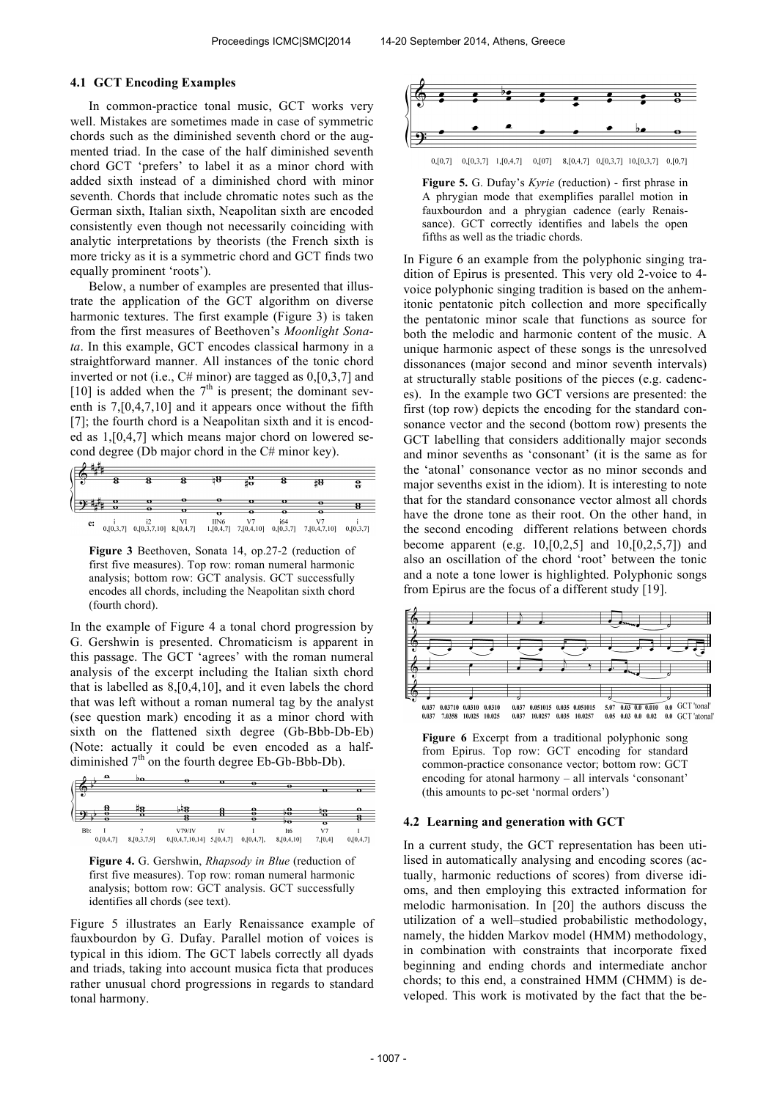#### **4.1 GCT Encoding Examples**

In common-practice tonal music, GCT works very well. Mistakes are sometimes made in case of symmetric chords such as the diminished seventh chord or the augmented triad. In the case of the half diminished seventh chord GCT 'prefers' to label it as a minor chord with added sixth instead of a diminished chord with minor seventh. Chords that include chromatic notes such as the German sixth, Italian sixth, Neapolitan sixth are encoded consistently even though not necessarily coinciding with analytic interpretations by theorists (the French sixth is more tricky as it is a symmetric chord and GCT finds two equally prominent 'roots').

Below, a number of examples are presented that illustrate the application of the GCT algorithm on diverse harmonic textures. The first example (Figure 3) is taken from the first measures of Beethoven's *Moonlight Sonata*. In this example, GCT encodes classical harmony in a straightforward manner. All instances of the tonic chord inverted or not (i.e., C# minor) are tagged as 0,[0,3,7] and [10] is added when the  $7<sup>th</sup>$  is present; the dominant seventh is 7,[0,4,7,10] and it appears once without the fifth [7]; the fourth chord is a Neapolitan sixth and it is encoded as 1,[0,4,7] which means major chord on lowered second degree (Db major chord in the C# minor key).



**Figure 3** Beethoven, Sonata 14, op.27-2 (reduction of first five measures). Top row: roman numeral harmonic analysis; bottom row: GCT analysis. GCT successfully encodes all chords, including the Neapolitan sixth chord (fourth chord).

In the example of Figure 4 a tonal chord progression by G. Gershwin is presented. Chromaticism is apparent in this passage. The GCT 'agrees' with the roman numeral analysis of the excerpt including the Italian sixth chord that is labelled as 8,[0,4,10], and it even labels the chord that was left without a roman numeral tag by the analyst (see question mark) encoding it as a minor chord with sixth on the flattened sixth degree (Gb-Bbb-Db-Eb) (Note: actually it could be even encoded as a halfdiminished  $7<sup>th</sup>$  on the fourth degree Eb-Gb-Bbb-Db).





Figure 5 illustrates an Early Renaissance example of fauxbourdon by G. Dufay. Parallel motion of voices is typical in this idiom. The GCT labels correctly all dyads and triads, taking into account musica ficta that produces rather unusual chord progressions in regards to standard tonal harmony.



**Figure 5.** G. Dufay's *Kyrie* (reduction) - first phrase in A phrygian mode that exemplifies parallel motion in fauxbourdon and a phrygian cadence (early Renaissance). GCT correctly identifies and labels the open fifths as well as the triadic chords.

In Figure 6 an example from the polyphonic singing tradition of Epirus is presented. This very old 2-voice to 4 voice polyphonic singing tradition is based on the anhemitonic pentatonic pitch collection and more specifically the pentatonic minor scale that functions as source for both the melodic and harmonic content of the music. A unique harmonic aspect of these songs is the unresolved dissonances (major second and minor seventh intervals) at structurally stable positions of the pieces (e.g. cadences). In the example two GCT versions are presented: the first (top row) depicts the encoding for the standard consonance vector and the second (bottom row) presents the GCT labelling that considers additionally major seconds and minor sevenths as 'consonant' (it is the same as for the 'atonal' consonance vector as no minor seconds and major sevenths exist in the idiom). It is interesting to note that for the standard consonance vector almost all chords have the drone tone as their root. On the other hand, in the second encoding different relations between chords become apparent (e.g.  $10, [0,2,5]$  and  $10, [0,2,5,7]$ ) and also an oscillation of the chord 'root' between the tonic and a note a tone lower is highlighted. Polyphonic songs from Epirus are the focus of a different study [19].



**Figure 6** Excerpt from a traditional polyphonic song from Epirus. Top row: GCT encoding for standard common-practice consonance vector; bottom row: GCT encoding for atonal harmony – all intervals 'consonant' (this amounts to pc-set 'normal orders')

#### **4.2 Learning and generation with GCT**

In a current study, the GCT representation has been utilised in automatically analysing and encoding scores (actually, harmonic reductions of scores) from diverse idioms, and then employing this extracted information for melodic harmonisation. In [20] the authors discuss the utilization of a well–studied probabilistic methodology, namely, the hidden Markov model (HMM) methodology, in combination with constraints that incorporate fixed beginning and ending chords and intermediate anchor chords; to this end, a constrained HMM (CHMM) is developed. This work is motivated by the fact that the be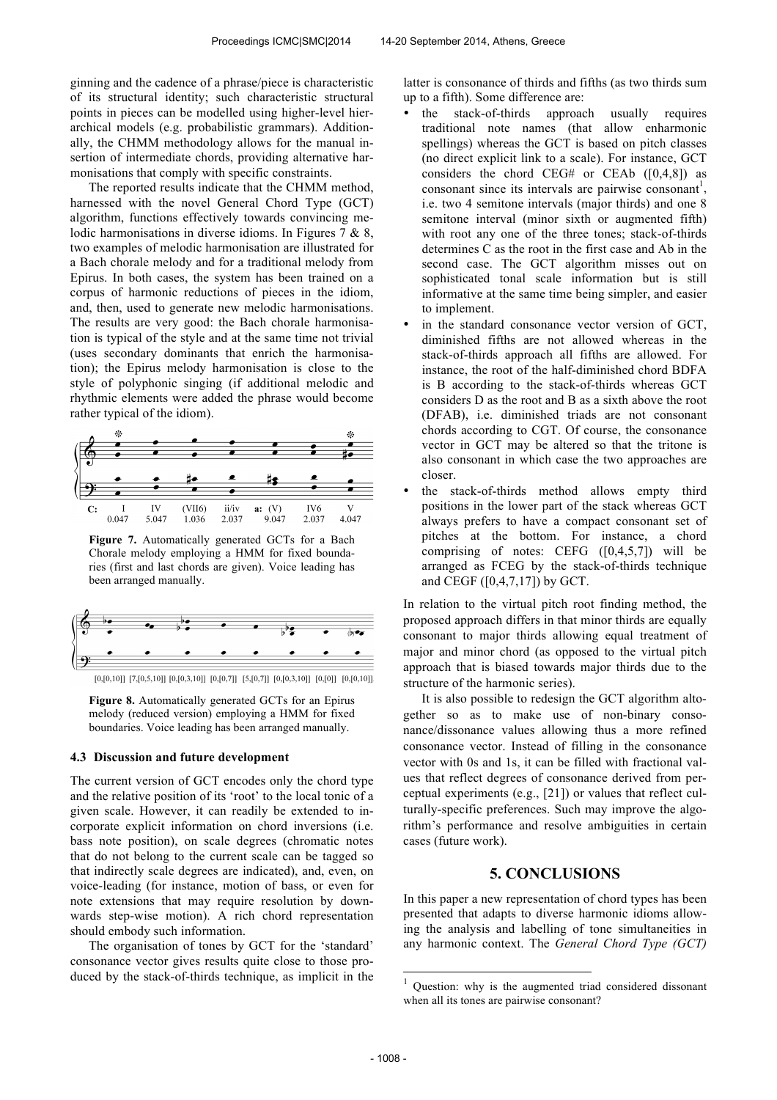ginning and the cadence of a phrase/piece is characteristic of its structural identity; such characteristic structural points in pieces can be modelled using higher-level hierarchical models (e.g. probabilistic grammars). Additionally, the CHMM methodology allows for the manual insertion of intermediate chords, providing alternative harmonisations that comply with specific constraints.

The reported results indicate that the CHMM method, harnessed with the novel General Chord Type (GCT) algorithm, functions effectively towards convincing melodic harmonisations in diverse idioms. In Figures 7 & 8, two examples of melodic harmonisation are illustrated for a Bach chorale melody and for a traditional melody from Epirus. In both cases, the system has been trained on a corpus of harmonic reductions of pieces in the idiom, and, then, used to generate new melodic harmonisations. The results are very good: the Bach chorale harmonisation is typical of the style and at the same time not trivial (uses secondary dominants that enrich the harmonisation); the Epirus melody harmonisation is close to the style of polyphonic singing (if additional melodic and rhythmic elements were added the phrase would become rather typical of the idiom).



**Figure 7.** Automatically generated GCTs for a Bach Chorale melody employing a HMM for fixed boundaries (first and last chords are given). Voice leading has been arranged manually.



 $[0, [0, 10]] \ [7, [0, 5, 10]] \ [0, [0, 3, 10]] \ [0, [0, 7]] \ [5, [0, 7]] \ [0, [0, 3, 10]] \ [0, [0]] \ [0, [0, 10]]$ 

**Figure 8.** Automatically generated GCTs for an Epirus melody (reduced version) employing a HMM for fixed boundaries. Voice leading has been arranged manually.

#### **4.3 Discussion and future development**

The current version of GCT encodes only the chord type and the relative position of its 'root' to the local tonic of a given scale. However, it can readily be extended to incorporate explicit information on chord inversions (i.e. bass note position), on scale degrees (chromatic notes that do not belong to the current scale can be tagged so that indirectly scale degrees are indicated), and, even, on voice-leading (for instance, motion of bass, or even for note extensions that may require resolution by downwards step-wise motion). A rich chord representation should embody such information.

The organisation of tones by GCT for the 'standard' consonance vector gives results quite close to those produced by the stack-of-thirds technique, as implicit in the latter is consonance of thirds and fifths (as two thirds sum up to a fifth). Some difference are:

- the stack-of-thirds approach usually requires traditional note names (that allow enharmonic spellings) whereas the GCT is based on pitch classes (no direct explicit link to a scale). For instance, GCT considers the chord CEG# or CEAb  $([0,4,8])$  as consonant since its intervals are pairwise consonant<sup>1</sup>, i.e. two 4 semitone intervals (major thirds) and one 8 semitone interval (minor sixth or augmented fifth) with root any one of the three tones; stack-of-thirds determines C as the root in the first case and Ab in the second case. The GCT algorithm misses out on sophisticated tonal scale information but is still informative at the same time being simpler, and easier to implement.
- in the standard consonance vector version of GCT, diminished fifths are not allowed whereas in the stack-of-thirds approach all fifths are allowed. For instance, the root of the half-diminished chord BDFA is B according to the stack-of-thirds whereas GCT considers D as the root and B as a sixth above the root (DFAB), i.e. diminished triads are not consonant chords according to CGT. Of course, the consonance vector in GCT may be altered so that the tritone is also consonant in which case the two approaches are closer.
- the stack-of-thirds method allows empty third positions in the lower part of the stack whereas GCT always prefers to have a compact consonant set of pitches at the bottom. For instance, a chord comprising of notes: CEFG  $([0,4,5,7])$  will be arranged as FCEG by the stack-of-thirds technique and CEGF ([0,4,7,17]) by GCT.

In relation to the virtual pitch root finding method, the proposed approach differs in that minor thirds are equally consonant to major thirds allowing equal treatment of major and minor chord (as opposed to the virtual pitch approach that is biased towards major thirds due to the structure of the harmonic series).

It is also possible to redesign the GCT algorithm altogether so as to make use of non-binary consonance/dissonance values allowing thus a more refined consonance vector. Instead of filling in the consonance vector with 0s and 1s, it can be filled with fractional values that reflect degrees of consonance derived from perceptual experiments (e.g., [21]) or values that reflect culturally-specific preferences. Such may improve the algorithm's performance and resolve ambiguities in certain cases (future work).

### **5. CONCLUSIONS**

In this paper a new representation of chord types has been presented that adapts to diverse harmonic idioms allowing the analysis and labelling of tone simultaneities in any harmonic context. The *General Chord Type (GCT)*

j

 $1$  Question: why is the augmented triad considered dissonant when all its tones are pairwise consonant?